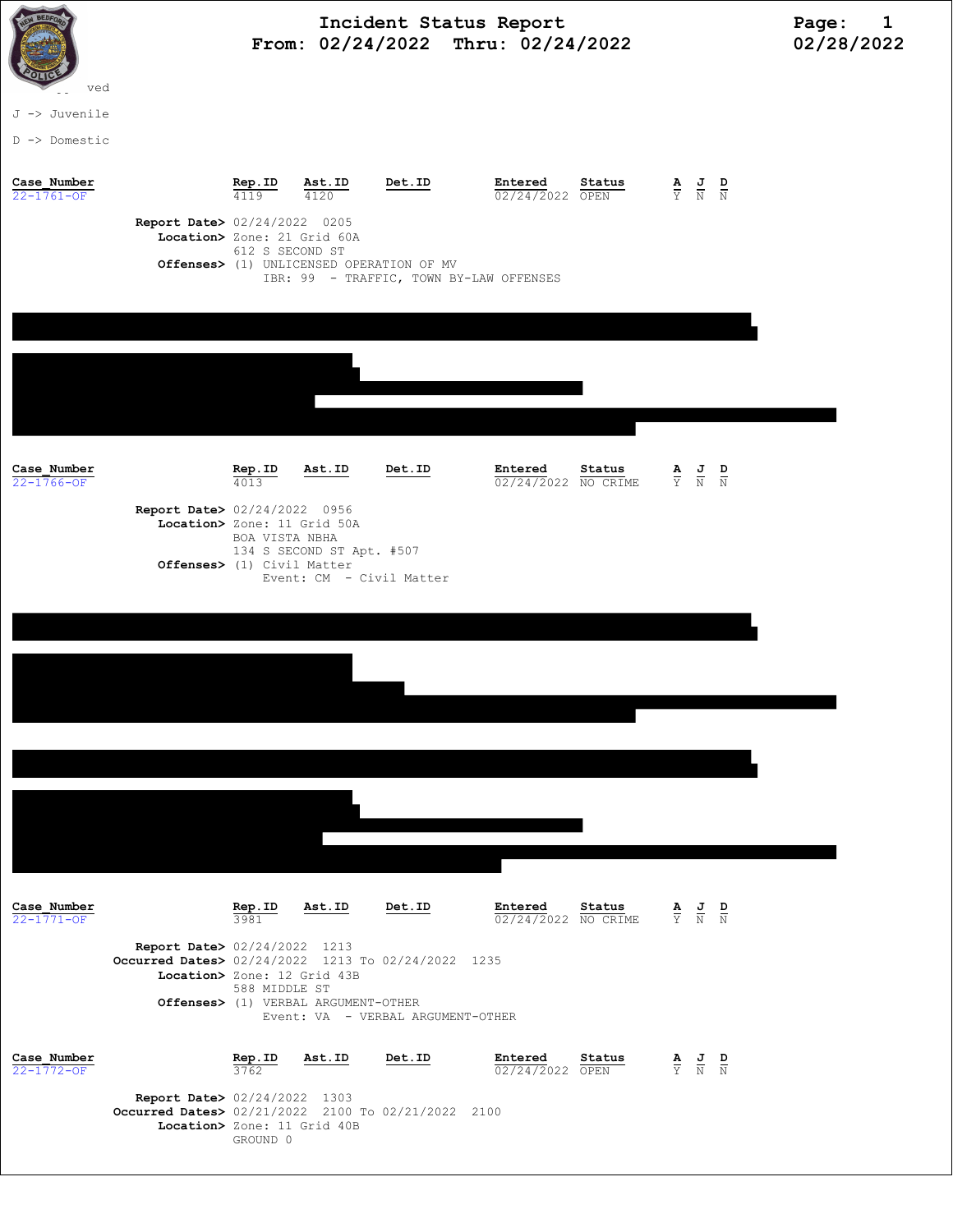